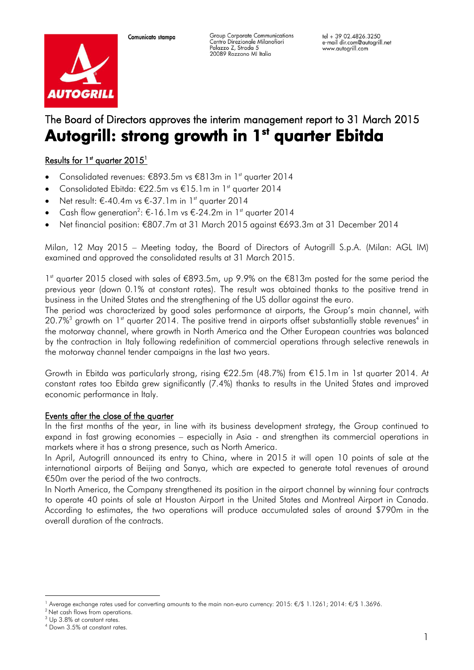Group Corporate Communications Centro Direzionale Milanofiori<br>Palazzo Z, Strada 5 20089 Rozzano MI Italia



# The Board of Directors approves the interim management report to 31 March 2015 Autogrill: strong growth in 1st quarter Ebitda

# <u>Results for 1st quarter 2015<sup>1</sup></u>

- Consolidated revenues: €893.5m vs €813m in 1st quarter 2014
- Consolidated Ebitda: €22.5m vs €15.1m in 1st quarter 2014
- $\bullet$  Net result: €-40.4m vs €-37.1m in 1st quarter 2014
- Cash flow generation<sup>2</sup>: €-16.1m vs €-24.2m in 1<sup>st</sup> quarter 2014
- Net financial position: €807.7m at 31 March 2015 against €693.3m at 31 December 2014

Milan, 12 May 2015 – Meeting today, the Board of Directors of Autogrill S.p.A. (Milan: AGL IM) examined and approved the consolidated results at 31 March 2015.

1<sup>st</sup> quarter 2015 closed with sales of €893.5m, up 9.9% on the €813m posted for the same period the previous year (down 0.1% at constant rates). The result was obtained thanks to the positive trend in business in the United States and the strengthening of the US dollar against the euro.

The period was characterized by good sales performance at airports, the Group's main channel, with 20.7%<sup>3</sup> growth on 1st quarter 2014. The positive trend in airports offset substantially stable revenues<sup>4</sup> in the motorway channel, where growth in North America and the Other European countries was balanced by the contraction in Italy following redefinition of commercial operations through selective renewals in the motorway channel tender campaigns in the last two years.

Growth in Ebitda was particularly strong, rising €22.5m (48.7%) from €15.1m in 1st quarter 2014. At constant rates too Ebitda grew significantly (7.4%) thanks to results in the United States and improved economic performance in Italy.

#### Events after the close of the quarter

In the first months of the year, in line with its business development strategy, the Group continued to expand in fast growing economies – especially in Asia - and strengthen its commercial operations in markets where it has a strong presence, such as North America.

In April, Autogrill announced its entry to China, where in 2015 it will open 10 points of sale at the international airports of Beijing and Sanya, which are expected to generate total revenues of around €50m over the period of the two contracts.

In North America, the Company strengthened its position in the airport channel by winning four contracts to operate 40 points of sale at Houston Airport in the United States and Montreal Airport in Canada. According to estimates, the two operations will produce accumulated sales of around \$790m in the overall duration of the contracts.

—<br>—

<sup>1</sup> Average exchange rates used for converting amounts to the main non-euro currency: 2015: €/\$ 1.1261; 2014: €/\$ 1.3696.

<sup>&</sup>lt;sup>2</sup> Net cash flows from operations.

<sup>3</sup> Up 3.8% at constant rates.

<sup>4</sup> Down 3.5% at constant rates.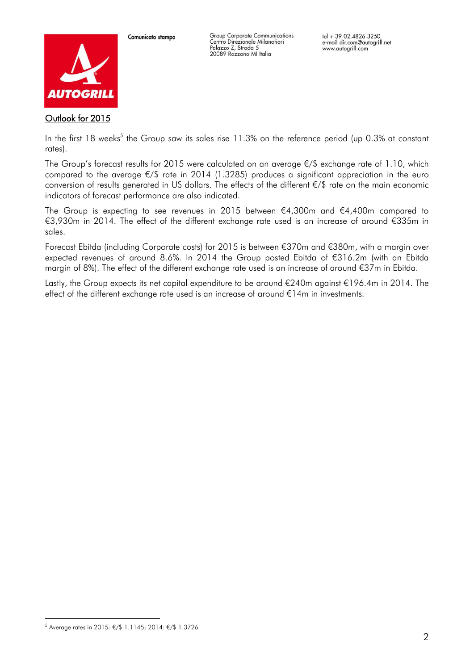

Group Corporate Communications Centro Direzionale Milanofiori<br>Palazzo Z, Strada 5 20089 Rozzano MI Italia

Outlook for 2015

In the first 18 weeks<sup>5</sup> the Group saw its sales rise 11.3% on the reference period (up 0.3% at constant rates).

The Group's forecast results for 2015 were calculated on an average €/\$ exchange rate of 1.10, which compared to the average €/\$ rate in 2014 (1.3285) produces a significant appreciation in the euro conversion of results generated in US dollars. The effects of the different €/\$ rate on the main economic indicators of forecast performance are also indicated.

The Group is expecting to see revenues in 2015 between  $\epsilon$ 4,300m and  $\epsilon$ 4,400m compared to €3,930m in 2014. The effect of the different exchange rate used is an increase of around €335m in sales.

Forecast Ebitda (including Corporate costs) for 2015 is between €370m and €380m, with a margin over expected revenues of around 8.6%. In 2014 the Group posted Ebitda of €316.2m (with an Ebitda margin of 8%). The effect of the different exchange rate used is an increase of around €37m in Ebitda.

LastIy, the Group expects its net capital expenditure to be around €240m against €196.4m in 2014. The effect of the different exchange rate used is an increase of around €14m in investments.

-

<sup>5</sup> Average rates in 2015: €/\$ 1.1145; 2014: €/\$ 1.3726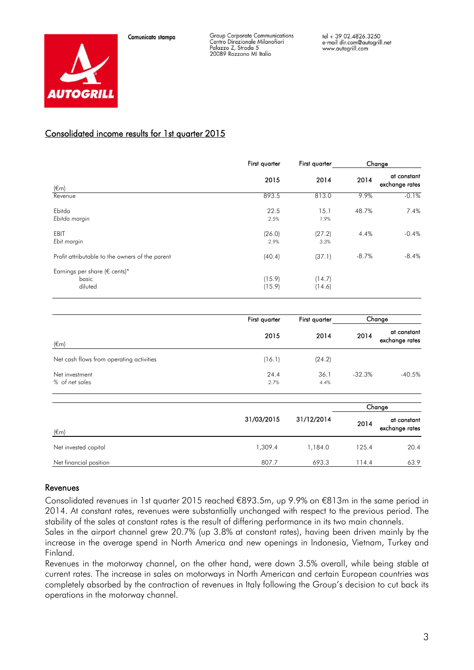



## Consolidated income results for 1st quarter 2015

|                                                        | First quarter    | First quarter    |         | Change                        |
|--------------------------------------------------------|------------------|------------------|---------|-------------------------------|
| $(\epsilon m)$                                         | 2015             | 2014             | 2014    | at constant<br>exchange rates |
| Revenue                                                | 893.5            | 813.0            | 9.9%    | $-0.1\%$                      |
| Ebitda<br>Ebitda margin                                | 22.5<br>2.5%     | 15.1<br>1.9%     | 48.7%   | 7.4%                          |
| EBIT<br>Ebit margin                                    | (26.0)<br>2.9%   | (27.2)<br>3.3%   | 4.4%    | $-0.4%$                       |
| Profit attributable to the owners of the parent        | (40.4)           | (37.1)           | $-8.7%$ | $-8.4%$                       |
| Earnings per share ( $\in$ cents)*<br>basic<br>diluted | (15.9)<br>(15.9) | (14.7)<br>(14.6) |         |                               |

|                                          | First quarter | First quarter |          | Change                        |
|------------------------------------------|---------------|---------------|----------|-------------------------------|
| $(\epsilon m)$                           | 2015          | 2014          | 2014     | at constant<br>exchange rates |
| Net cash flows from operating activities | (16.1)        | (24.2)        |          |                               |
| Net investment<br>% of net sales         | 24.4<br>2.7%  | 36.1<br>4.4%  | $-32.3%$ | $-40.5%$                      |

|                        |                          |         |       | Change                        |  |
|------------------------|--------------------------|---------|-------|-------------------------------|--|
| $(\epsilon$ m          | 31/03/2015<br>31/12/2014 |         | 2014  | at constant<br>exchange rates |  |
| Net invested capital   | 1,309.4                  | 1,184.0 | 125.4 | 20.4                          |  |
| Net financial position | 807.7                    | 693.3   | 114.4 | 63.9                          |  |

#### Revenues

Consolidated revenues in 1st quarter 2015 reached €893.5m, up 9.9% on €813m in the same period in 2014. At constant rates, revenues were substantially unchanged with respect to the previous period. The stability of the sales at constant rates is the result of differing performance in its two main channels.

Sales in the airport channel grew 20.7% (up 3.8% at constant rates), having been driven mainly by the increase in the average spend in North America and new openings in Indonesia, Vietnam, Turkey and Finland.

Revenues in the motorway channel, on the other hand, were down 3.5% overall, while being stable at current rates. The increase in sales on motorways in North American and certain European countries was completely absorbed by the contraction of revenues in Italy following the Group's decision to cut back its operations in the motorway channel.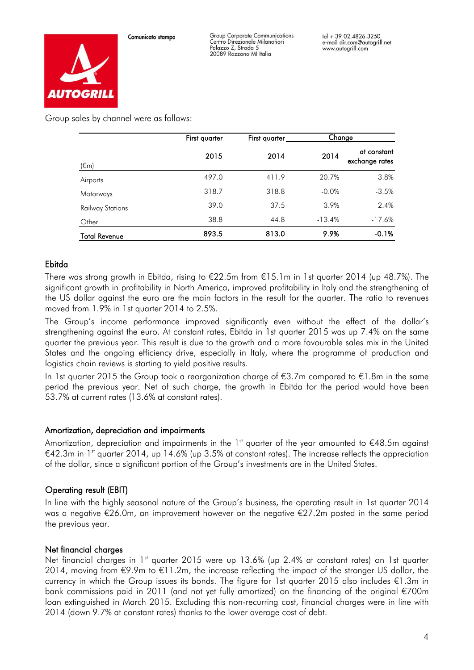

Group Corporate Communications Centro Direzionale Milanofiori Palazzo Z, Strada 5 20089 Rozzano MI Italia



Group sales by channel were as follows:

|                         | First quarter | First quarter | Change   |                               |
|-------------------------|---------------|---------------|----------|-------------------------------|
| $(\epsilon m)$          | 2015          | 2014          | 2014     | at constant<br>exchange rates |
| Airports                | 497.0         | 411.9         | 20.7%    | 3.8%                          |
| Motorways               | 318.7         | 318.8         | $-0.0%$  | $-3.5%$                       |
| <b>Railway Stations</b> | 39.0          | 37.5          | 3.9%     | 2.4%                          |
| Other                   | 38.8          | 44.8          | $-13.4%$ | $-17.6%$                      |
| Total Revenue           | 893.5         | 813.0         | 9.9%     | $-0.1%$                       |

# Ebitda

There was strong growth in Ebitda, rising to  $E22.5m$  from  $E15.1m$  in 1st quarter 2014 (up 48.7%). The significant growth in profitability in North America, improved profitability in Italy and the strengthening of the US dollar against the euro are the main factors in the result for the quarter. The ratio to revenues moved from 1.9% in 1st quarter 2014 to 2.5%.

The Group's income performance improved significantly even without the effect of the dollar's strengthening against the euro. At constant rates, Ebitda in 1st quarter 2015 was up 7.4% on the same quarter the previous year. This result is due to the growth and a more favourable sales mix in the United States and the ongoing efficiency drive, especially in Italy, where the programme of production and logistics chain reviews is starting to yield positive results.

In 1st quarter 2015 the Group took a reorganization charge of €3.7m compared to €1.8m in the same period the previous year. Net of such charge, the growth in Ebitda for the period would have been 53.7% at current rates (13.6% at constant rates).

#### Amortization, depreciation and impairments

Amortization, depreciation and impairments in the 1<sup>st</sup> quarter of the year amounted to  $€48.5$ m against €42.3m in 1<sup>st</sup> quarter 2014, up 14.6% (up 3.5% at constant rates). The increase reflects the appreciation of the dollar, since a significant portion of the Group's investments are in the United States.

# Operating result (EBIT)

In line with the highly seasonal nature of the Group's business, the operating result in 1st quarter 2014 was a negative €26.0m, an improvement however on the negative €27.2m posted in the same period the previous year.

#### Net financial charges

Net financial charges in 1<sup>st</sup> quarter 2015 were up 13.6% (up 2.4% at constant rates) on 1st quarter 2014, moving from  $\epsilon$ 9.9m to  $\epsilon$ 11.2m, the increase reflecting the impact of the stronger US dollar, the currency in which the Group issues its bonds. The figure for 1st quarter 2015 also includes €1.3m in bank commissions paid in 2011 (and not yet fully amortized) on the financing of the original €700m loan extinguished in March 2015. Excluding this non-recurring cost, financial charges were in line with 2014 (down 9.7% at constant rates) thanks to the lower average cost of debt.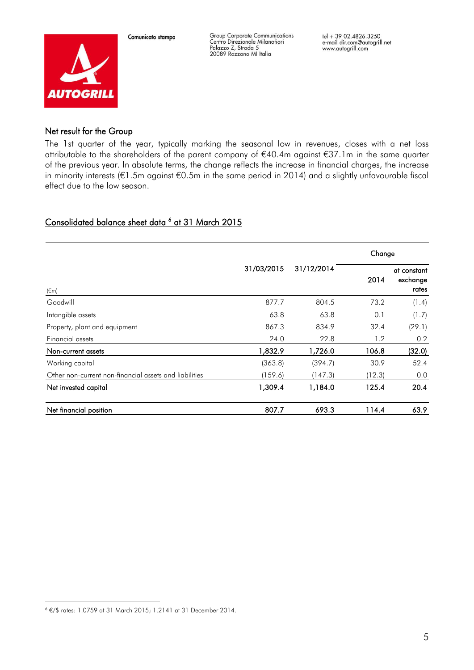

Group Corporate Communications Centro Direzionale Milanofiori<br>Palazzo Z, Strada 5<br>20089 Rozzano MI Italia

#### Net result for the Group

The 1st quarter of the year, typically marking the seasonal low in revenues, closes with a net loss attributable to the shareholders of the parent company of €40.4m against €37.1m in the same quarter of the previous year. In absolute terms, the change reflects the increase in financial charges, the increase in minority interests (€1.5m against €0.5m in the same period in 2014) and a slightly unfavourable fiscal effect due to the low season.

# Consolidated balance sheet data <sup>6</sup> at 31 March 2015

|                                                        |            |            | Change |                                  |  |
|--------------------------------------------------------|------------|------------|--------|----------------------------------|--|
| $(\epsilon m)$                                         | 31/03/2015 | 31/12/2014 | 2014   | at constant<br>exchange<br>rates |  |
| Goodwill                                               | 877.7      | 804.5      | 73.2   | (1.4)                            |  |
| Intangible assets                                      | 63.8       | 63.8       | 0.1    | (1.7)                            |  |
| Property, plant and equipment                          | 867.3      | 834.9      | 32.4   | (29.1)                           |  |
| Financial assets                                       | 24.0       | 22.8       | 1.2    | 0.2                              |  |
| Non-current assets                                     | 1,832.9    | 1,726.0    | 106.8  | (32.0)                           |  |
| Working capital                                        | (363.8)    | (394.7)    | 30.9   | 52.4                             |  |
| Other non-current non-financial assets and liabilities | (159.6)    | (147.3)    | (12.3) | 0.0                              |  |
| Net invested capital                                   | 1,309.4    | 1,184.0    | 125.4  | 20.4                             |  |
| Net financial position                                 | 807.7      | 693.3      | 114.4  | 63.9                             |  |

—<br>—

<sup>6</sup> €/\$ rates: 1.0759 at 31 March 2015; 1.2141 at 31 December 2014.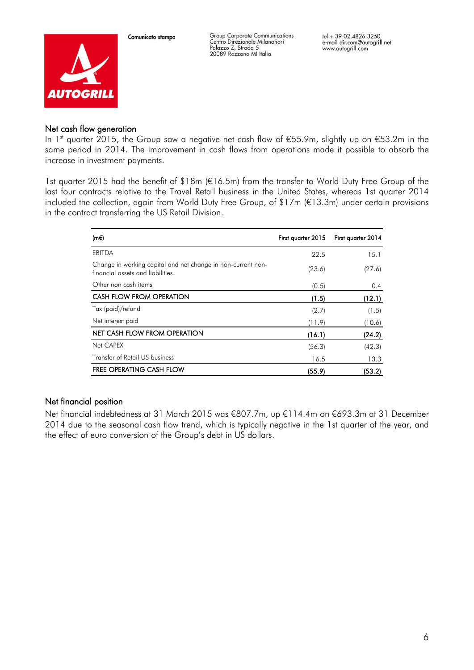

Group Corporate Communications Centro Direzionale Milanofiori<br>Palazzo Z, Strada 5 20089 Rozzano MI Italia

#### Net cash flow generation

In 1<sup>st</sup> quarter 2015, the Group saw a negative net cash flow of €55.9m, slightly up on €53.2m in the same period in 2014. The improvement in cash flows from operations made it possible to absorb the increase in investment payments.

1st quarter 2015 had the benefit of \$18m (€16.5m) from the transfer to World Duty Free Group of the last four contracts relative to the Travel Retail business in the United States, whereas 1st quarter 2014 included the collection, again from World Duty Free Group, of \$17m (€13.3m) under certain provisions in the contract transferring the US Retail Division.

| (m€)                                                                                             | First quarter 2015 | First quarter 2014 |
|--------------------------------------------------------------------------------------------------|--------------------|--------------------|
| <b>EBITDA</b>                                                                                    | 22.5               | 15.1               |
| Change in working capital and net change in non-current non-<br>financial assets and liabilities | (23.6)             | (27.6)             |
| Other non cash items                                                                             | (0.5)              | 0.4                |
| CASH FLOW FROM OPERATION                                                                         | (1.5)              | (12.1)             |
| Tax (paid)/refund                                                                                | (2.7)              | (1.5)              |
| Net interest paid                                                                                | (11.9)             | (10.6)             |
| NET CASH FLOW FROM OPERATION                                                                     | (16.1)             | (24.2)             |
| Net CAPEX                                                                                        | (56.3)             | (42.3)             |
| Transfer of Retail US business                                                                   | 16.5               | 13.3               |
| <b>FREE OPERATING CASH FLOW</b>                                                                  | (55.9)             | (53.2)             |

# Net financial position

Net financial indebtedness at 31 March 2015 was €807.7m, up €114.4m on €693.3m at 31 December 2014 due to the seasonal cash flow trend, which is typically negative in the 1st quarter of the year, and the effect of euro conversion of the Group's debt in US dollars.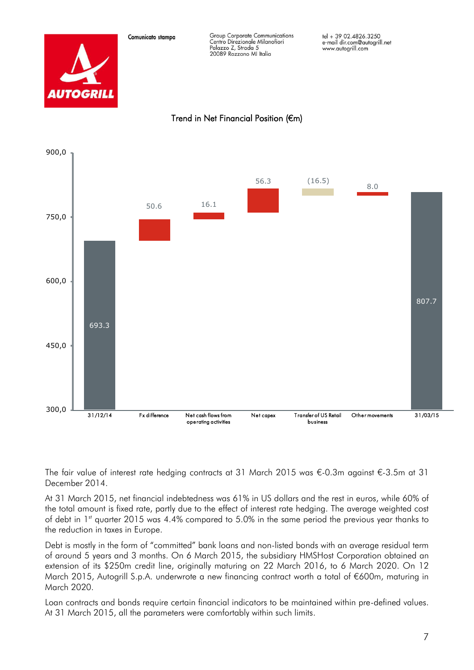



The fair value of interest rate hedging contracts at 31 March 2015 was €-0.3m against €-3.5m at 31 December 2014.

At 31 March 2015, net financial indebtedness was 61% in US dollars and the rest in euros, while 60% of the total amount is fixed rate, partly due to the effect of interest rate hedging. The average weighted cost of debt in 1<sup>st</sup> quarter 2015 was 4.4% compared to 5.0% in the same period the previous year thanks to the reduction in taxes in Europe.

Debt is mostly in the form of "committed" bank loans and non-listed bonds with an average residual term of around 5 years and 3 months. On 6 March 2015, the subsidiary HMSHost Corporation obtained an extension of its \$250m credit line, originally maturing on 22 March 2016, to 6 March 2020. On 12 March 2015, Autogrill S.p.A. underwrote a new financing contract worth a total of €600m, maturing in March 2020.

Loan contracts and bonds require certain financial indicators to be maintained within pre-defined values. At 31 March 2015, all the parameters were comfortably within such limits.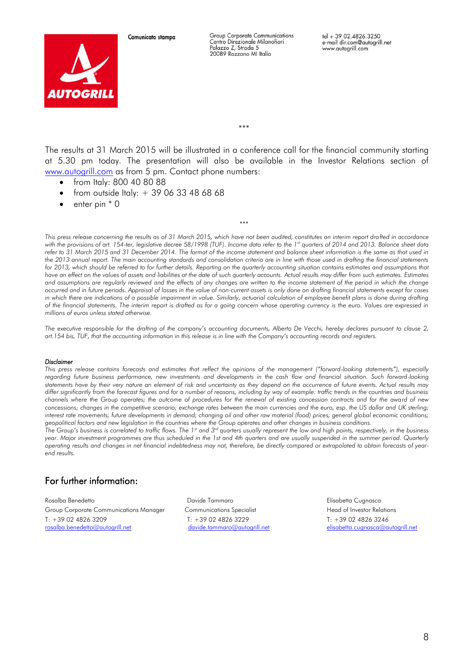

Group Corporate Communications Centro Direzionale Milanofiori Palazzo Z. Strada 5 20089 Rozzano MI Italia

tel + 39 02.4826.3250 e-mail dir.com@autogrill.net www.autogrill.com

\*\*\*

The results at 31 March 2015 will be illustrated in a conference call for the financial community starting at 5.30 pm today. The presentation will also be available in the Investor Relations section of [www.autogrill.com](http://www.autogrill.com/) as from 5 pm. Contact phone numbers:

- from Italy: 800 40 80 88
- from outside Italy:  $+ 390633486868$
- $\bullet$  enter pin  $*$  0

*This press release concerning the results as of 31 March 2015, which have not been audited, constitutes an interim report drafted in accordance with the provisions of art. 154-ter, legislative decree 58/1998 (TUF). Income data refer to the 1st quarters of 2014 and 2013. Balance sheet data refer to 31 March 2015 and 31 December 2014. The format of the income statement and balance sheet information is the same as that used in the 2013 annual report. The main accounting standards and consolidation criteria are in line with those used in drafting the financial statements for 2013, which should be referred to for further details. Reporting on the quarterly accounting situation contains estimates and assumptions that have an effect on the values of assets and liabilities at the date of such quarterly accounts. Actual results may differ from such estimates. Estimates*  and assumptions are regularly reviewed and the effects of any changes are written to the income statement of the period in which the change *occurred and in future periods. Appraisal of losses in the value of non-current assets is only done on drafting financial statements except for cases in which there are indications of a possible impairment in value. Similarly, actuarial calculation of employee benefit plans is done during drafting of the financial statements. The interim report is drafted as for a going concern whose operating currency is the euro. Values are expressed in millions of euros unless stated otherwise.*

\*\*\*

*The executive responsible for the drafting of the company's accounting documents, Alberto De Vecchi, hereby declares pursuant to clause 2,*  art.154 bis, TUF, that the accounting information in this release is in line with the Company's accounting records and registers.

#### *Disclaimer*

*This press release contains forecasts and estimates that reflect the opinions of the management ("forward-looking statements"), especially regarding future business performance, new investments and developments in the cash flow and financial situation. Such forward-looking statements have by their very nature an element of risk and uncertainty as they depend on the occurrence of future events. Actual results may differ significantly from the forecast figures and for a number of reasons, including by way of example: traffic trends in the countries and business channels where the Group operates; the outcome of procedures for the renewal of existing concession contracts and for the award of new concessions; changes in the competitive scenario; exchange rates between the main currencies and the euro, esp. the US dollar and UK sterling; interest rate movements; future developments in demand; changing oil and other raw material (food) prices; general global economic conditions; geopolitical factors and new legislation in the countries where the Group operates and other changes in business conditions.*

*The Group's business is correlated to traffic flows. The 1st and 3rd quarters usually represent the low and high points, respectively, in the business year. Major investment programmes are thus scheduled in the 1st and 4th quarters and are usually suspended in the summer period. Quarterly operating results and changes in net financial indebtedness may not, therefore, be directly compared or extrapolated to obtain forecasts of yearend results.*

# For further information:

Rosalba Benedetto Davide Tammaro Elisabetta Cugnasca Group Corporate Communications Manager Communications Specialist Fead of Investor Relations T: +39 02 4826 3209<br>
T: +39 02 4826 3209<br>
davide.tammaro@autogrill.net elisabetta.cugnasca@a

[elisabetta.cugnasca@autogrill.net](mailto:elisabetta.cugnasca@autogrill.net)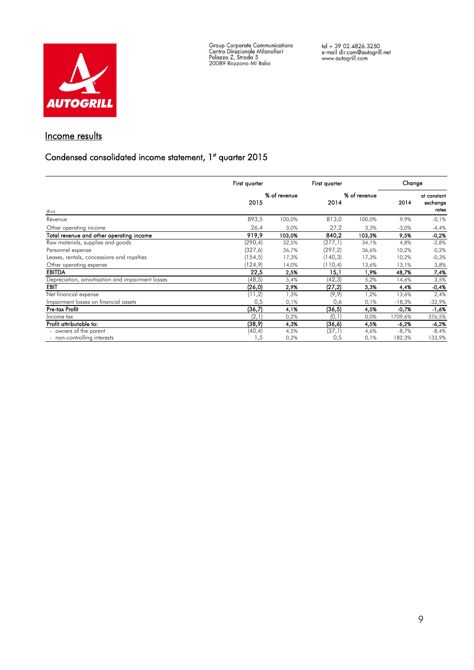

Group Corporate Communications<br>Centro Direzionale Milanofiori<br>Palazzo Z, Strada 5<br>20089 Rozzano MI Italia

# Income results

#### Condensed consolidated income statement, 1<sup>st</sup> quarter 2015

|                                                  | First quarter |              | First quarter |              | Change   |                                  |
|--------------------------------------------------|---------------|--------------|---------------|--------------|----------|----------------------------------|
| $(\epsilon m)$                                   | 2015          | % of revenue | 2014          | % of revenue | 2014     | at constant<br>exchange<br>rates |
| Revenue                                          | 893,5         | 100,0%       | 813,0         | 100,0%       | 9,9%     | $-0,1%$                          |
| Other operating income                           | 26,4          | 3,0%         | 27,2          | 3,3%         | $-3,0%$  | $-4,4%$                          |
| Total revenue and other operating income         | 919,9         | 103,0%       | 840,2         | 103,3%       | 9,5%     | $-0,2%$                          |
| Raw materials, supplies and goods                | (290,4)       | 32,5%        | (277,1)       | 34,1%        | 4,8%     | $-2,8%$                          |
| Personnel expense                                | (327, 6)      | 36,7%        | (297, 2)      | 36,6%        | 10,2%    | 0,2%                             |
| Leases, rentals, concessions and royalties       | (154, 5)      | 17,3%        | (140, 3)      | 17,3%        | 10,2%    | $-0,3%$                          |
| Other operating expense                          | 124,9         | 14,0%        | (110, 4)      | 13,6%        | 13,1%    | 3,8%                             |
| <b>EBITDA</b>                                    | 22,5          | 2,5%         | 15,1          | 1,9%         | 48,7%    | 7,4%                             |
| Depreciation, amortisation and impairment losses | (48, 5)       | 5,4%         | (42,3)        | 5,2%         | 14,6%    | 3,5%                             |
| EBIT                                             | (26,0)        | 2,9%         | (27,2)        | 3,3%         | 4,4%     | $-0,4%$                          |
| Net financial expense                            | (11,2)        | 1,3%         | (9, 9)        | 1,2%         | 13,6%    | 2,4%                             |
| Impairment losses on financial assets            | 0,5           | 0,1%         | 0,6           | 0,1%         | $-18,3%$ | $-32,9%$                         |
| Pre-tax Profit                                   | (36,7)        | 4,1%         | (36, 5)       | 4,5%         | $-0,7%$  | -1,6%                            |
| Income tax                                       | (2,1)         | 0,2%         | (0,1)         | 0,0%         | 1709,6%  | 376,5%                           |
| Profit attributable to:                          | (38,9)        | 4,3%         | (36, 6)       | 4,5%         | -6,2%    | $-6,2%$                          |
| - owners of the parent                           | (40, 4)       | 4,5%         | (37,1)        | 4,6%         | $-8,7%$  | $-8,4%$                          |
| - non-controlling interests                      | .5            | 0,2%         | 0,5           | 0,1%         | 182,3%   | 133,9%                           |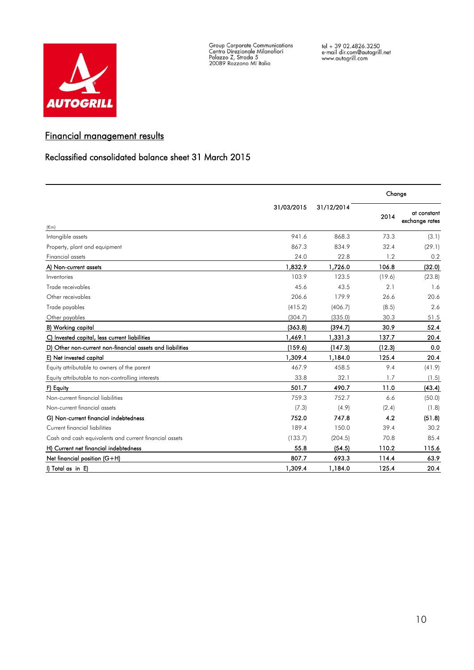

Group Corporate Communications<br>Centro Direzionale Milanofiori<br>Palazzo Z, Strada 5<br>20089 Rozzano MI Italia

# Financial management results

## Reclassified consolidated balance sheet 31 March 2015

|                                                           |            |            | Change |                               |  |
|-----------------------------------------------------------|------------|------------|--------|-------------------------------|--|
| $(\epsilon m)$                                            | 31/03/2015 | 31/12/2014 | 2014   | at constant<br>exchange rates |  |
| Intangible assets                                         | 941.6      | 868.3      | 73.3   | (3.1)                         |  |
| Property, plant and equipment                             | 867.3      | 834.9      | 32.4   | (29.1)                        |  |
| <b>Financial assets</b>                                   | 24.0       | 22.8       | 1.2    | 0.2                           |  |
| A) Non-current assets                                     | 1,832.9    | 1,726.0    | 106.8  | (32.0)                        |  |
| Inventories                                               | 103.9      | 123.5      | (19.6) | (23.8)                        |  |
| Trade receivables                                         | 45.6       | 43.5       | 2.1    | 1.6                           |  |
| Other receivables                                         | 206.6      | 179.9      | 26.6   | 20.6                          |  |
| Trade payables                                            | (415.2)    | (406.7)    | (8.5)  | 2.6                           |  |
| Other payables                                            | (304.7)    | (335.0)    | 30.3   | 51.5                          |  |
| B) Working capital                                        | (363.8)    | (394.7)    | 30.9   | 52.4                          |  |
| C) Invested capital, less current liabilities             | 1,469.1    | 1,331.3    | 137.7  | 20.4                          |  |
| D) Other non-current non-financial assets and liabilities | (159.6)    | (147.3)    | (12.3) | 0.0                           |  |
| E) Net invested capital                                   | 1,309.4    | 1,184.0    | 125.4  | 20.4                          |  |
| Equity attributable to owners of the parent               | 467.9      | 458.5      | 9.4    | (41.9)                        |  |
| Equity attributable to non-controlling interests          | 33.8       | 32.1       | 1.7    | (1.5)                         |  |
| F) Equity                                                 | 501.7      | 490.7      | 11.0   | (43.4)                        |  |
| Non-current financial liabilities                         | 759.3      | 752.7      | 6.6    | (50.0)                        |  |
| Non-current financial assets                              | (7.3)      | (4.9)      | (2.4)  | (1.8)                         |  |
| G) Non-current financial indebtedness                     | 752.0      | 747.8      | 4.2    | (51.8)                        |  |
| Current financial liabilities                             | 189.4      | 150.0      | 39.4   | 30.2                          |  |
| Cash and cash equivalents and current financial assets    | (133.7)    | (204.5)    | 70.8   | 85.4                          |  |
| H) Current net financial indebtedness                     | 55.8       | (54.5)     | 110.2  | 115.6                         |  |
| Net financial position (G+H)                              | 807.7      | 693.3      | 114.4  | 63.9                          |  |
| I) Total as in E)                                         | 1,309.4    | 1,184.0    | 125.4  | 20.4                          |  |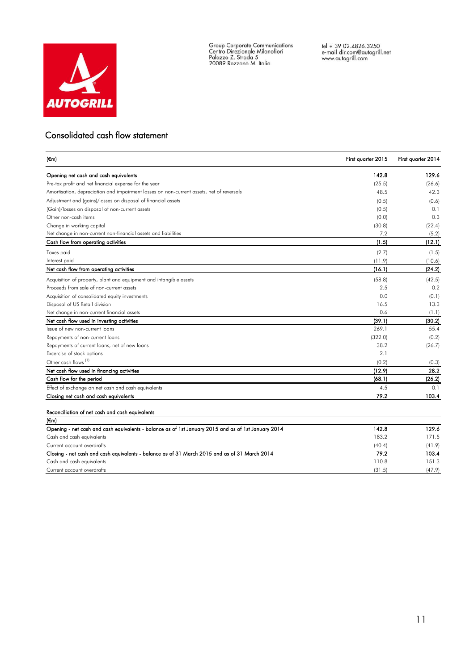

Group Corporate Communications<br>Centro Direzionale Milanofiori<br>Palazzo Z, Strada 5<br>20089 Rozzano MI Italia

## Consolidated cash flow statement

| (€m)                                                                                     | First quarter 2015 | First quarter 2014 |
|------------------------------------------------------------------------------------------|--------------------|--------------------|
| Opening net cash and cash equivalents                                                    | 142.8              | 129.6              |
| Pre-tax profit and net financial expense for the year                                    | (25.5)             | (26.6)             |
| Amortisation, depreciation and impairment losses on non-current assets, net of reversals | 48.5               | 42.3               |
| Adjustment and (gains)/losses on disposal of financial assets                            | (0.5)              | (0.6)              |
| (Gain)/losses on disposal of non-current assets                                          | (0.5)              | 0.1                |
| Other non-cash items                                                                     | (0.0)              | 0.3                |
| Change in working capital                                                                | (30.8)             | (22.4)             |
| Net change in non-current non-financial assets and liabilities                           | 7.2                | (5.2)              |
| Cash flow from operating activities                                                      | (1.5)              | (12.1)             |
| Taxes paid                                                                               | (2.7)              | (1.5)              |
| Interest paid                                                                            | (11.9)             | (10.6)             |
| Net cash flow from operating activities                                                  | (16.1)             | (24.2)             |
| Acquisition of property, plant and equipment and intangible assets                       | (58.8)             | (42.5)             |
| Proceeds from sale of non-current assets                                                 | 2.5                | 0.2                |
| Acquisition of consolidated equity investments                                           | 0.0                | (0.1)              |
| Disposal of US Retail division                                                           | 16.5               | 13.3               |
| Net change in non-current financial assets                                               | 0.6                | (1.1)              |
| Net cash flow used in investing activities                                               | (39.1)             | (30.2)             |
| Issue of new non-current loans                                                           | 269.1              | 55.4               |
| Repayments of non-current loans                                                          | (322.0)            | (0.2)              |
| Repayments of current loans, net of new loans                                            | 38.2               | (26.7)             |
| Excercise of stock options                                                               | 2.1                |                    |
| Other cash flows <sup>(1)</sup>                                                          | (0.2)              | (0.3)              |
| Net cash flow used in tinancing activities                                               | (12.9)             | 28.2               |
| Cash flow for the period                                                                 | (68.1)             | (26.2)             |
| Effect of exchange on net cash and cash equivalents                                      | 4.5                | 0.1                |
| Closing net cash and cash equivalents                                                    | 79.2               | 103.4              |

| $(\epsilon m)$                                                                                      |        |        |
|-----------------------------------------------------------------------------------------------------|--------|--------|
| Opening - net cash and cash equivalents - balance as of 1st January 2015 and as of 1st January 2014 | 142.8  | 129.6  |
| Cash and cash equivalents                                                                           | 183.2  | 171.5  |
| Current account overdrafts                                                                          | (40.4) | (41.9) |
| Closing - net cash and cash equivalents - balance as of 31 March 2015 and as of 31 March 2014       | 79.2   | 103.4  |
| Cash and cash equivalents                                                                           | 110.8  | 151.3  |
| Current account overdrafts                                                                          | (31.5) | (47.9) |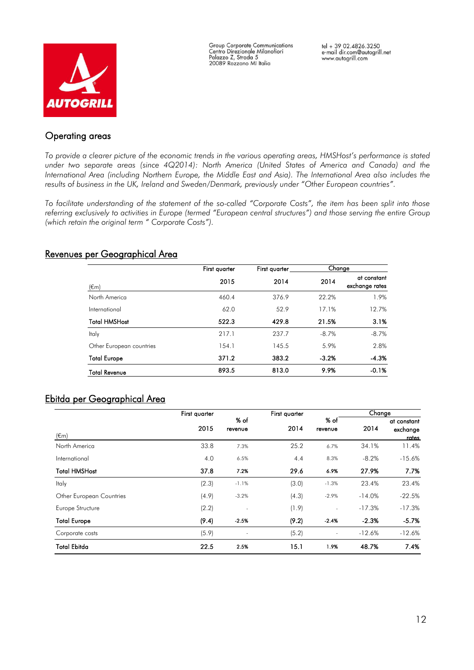

**Group Corporate Communications** Centro Direzionale Milanofiori Palazzo Z, Strada 5<br>20089 Rozzano MI Italia

tel + 39 02.4826.3250 e-mail dir.com@autogrill.net www.autogrill.com

# Operating areas

*To provide a clearer picture of the economic trends in the various operating areas, HMSHost's performance is stated under two separate areas (since 4Q2014): North America (United States of America and Canada) and the International Area (including Northern Europe, the Middle East and Asia). The International Area also includes the results of business in the UK, Ireland and Sweden/Denmark, previously under "Other European countries".*

*To facilitate understanding of the statement of the so-called "Corporate Costs", the item has been split into those referring exclusively to activities in Europe (termed "European central structures") and those serving the entire Group (which retain the original term " Corporate Costs").*

## Revenues per Geographical Area

|                          | First quarter | First quarter |         | Change                        |  |
|--------------------------|---------------|---------------|---------|-------------------------------|--|
| $(\epsilon m)$           | 2015          | 2014          | 2014    | at constant<br>exchange rates |  |
| North America            | 460.4         | 376.9         | 22.2%   | 1.9%                          |  |
| International            | 62.0          | 52.9          | 17.1%   | 12.7%                         |  |
| <b>Total HMSHost</b>     | 522.3         | 429.8         | 21.5%   | 3.1%                          |  |
| Italy                    | 217.1         | 237.7         | $-8.7%$ | $-8.7%$                       |  |
| Other European countries | 154.1         | 145.5         | 5.9%    | 2.8%                          |  |
| <b>Total Europe</b>      | 371.2         | 383.2         | $-3.2%$ | $-4.3%$                       |  |
| <b>Total Revenue</b>     | 893.5         | 813.0         | 9.9%    | $-0.1%$                       |  |

# Ebitda per Geographical Area

|                          | First quarter |                          |       |                 | Change   |                                  |
|--------------------------|---------------|--------------------------|-------|-----------------|----------|----------------------------------|
| (€m)                     | 2015          | % of<br>revenue          | 2014  | % of<br>revenue | 2014     | at constant<br>exchange<br>rates |
| North America            | 33.8          | 7.3%                     | 25.2  | 6.7%            | 34.1%    | 11.4%                            |
| International            | 4.0           | 6.5%                     | 4.4   | 8.3%            | $-8.2%$  | $-15.6%$                         |
| <b>Total HMSHost</b>     | 37.8          | 7.2%                     | 29.6  | 6.9%            | 27.9%    | 7.7%                             |
| Italy                    | (2.3)         | $-1.1%$                  | (3.0) | $-1.3%$         | 23.4%    | 23.4%                            |
| Other European Countries | (4.9)         | $-3.2%$                  | (4.3) | $-2.9%$         | $-14.0%$ | $-22.5%$                         |
| Europe Structure         | (2.2)         | $\overline{\phantom{a}}$ | (1.9) |                 | $-17.3%$ | $-17.3%$                         |
| <b>Total Europe</b>      | (9.4)         | $-2.5%$                  | (9.2) | $-2.4%$         | $-2.3%$  | $-5.7%$                          |
| Corporate costs          | (5.9)         | $\overline{\phantom{a}}$ | (5.2) |                 | $-12.6%$ | $-12.6%$                         |
| <b>Total Ebitda</b>      | 22.5          | 2.5%                     | 15.1  | 1.9%            | 48.7%    | 7.4%                             |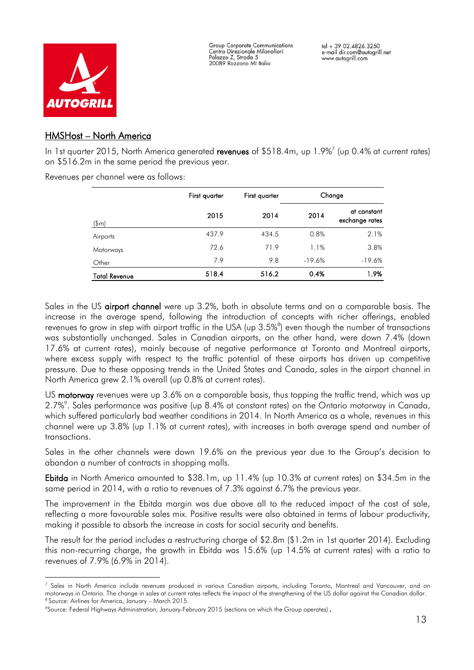

i<br>L

**Group Corporate Communications** Centro Direzionale Milanofiori Palazzo Z, Strada 5 20089 Rozzano MI Italia

## HMSHost – North America

In 1st quarter 2015, North America generated **revenues** of \$518.4m, up 1.9%<sup>7</sup> (up 0.4% at current rates) on \$516.2m in the same period the previous year.

Revenues per channel were as follows:

|                      | First quarter | First quarter | Change   |                               |
|----------------------|---------------|---------------|----------|-------------------------------|
| $(\text{Im})$        | 2015          | 2014          | 2014     | at constant<br>exchange rates |
| Airports             | 437.9         | 434.5         | 0.8%     | 2.1%                          |
| Motorways            | 72.6          | 71.9          | 1.1%     | 3.8%                          |
| Other                | 7.9           | 9.8           | $-19.6%$ | $-19.6%$                      |
| <b>Total Revenue</b> | 518.4         | 516.2         | 0.4%     | 1.9%                          |

Sales in the US **airport channel** were up 3.2%, both in absolute terms and on a comparable basis. The increase in the average spend, following the introduction of concepts with richer offerings, enabled revenues to grow in step with airport traffic in the USA (up 3.5% $^{\rm 8}$ ) even though the number of transactions was substantially unchanged. Sales in Canadian airports, on the other hand, were down 7.4% (down 17.6% at current rates), mainly because of negative performance at Toronto and Montreal airports, where excess supply with respect to the traffic potential of these airports has driven up competitive pressure. Due to these opposing trends in the United States and Canada, sales in the airport channel in North America grew 2.1% overall (up 0.8% at current rates).

US motorway revenues were up 3.6% on a comparable basis, thus topping the traffic trend, which was up 2.7%<sup>9</sup>. Sales performance was positive (up 8.4% at constant rates) on the Ontario motorway in Canada, which suffered particularly bad weather conditions in 2014. In North America as a whole, revenues in this channel were up 3.8% (up 1.1% at current rates), with increases in both average spend and number of transactions.

Sales in the other channels were down 19.6% on the previous year due to the Group's decision to abandon a number of contracts in shopping malls.

Ebitda in North America amounted to \$38.1m, up 11.4% (up 10.3% at current rates) on \$34.5m in the same period in 2014, with a ratio to revenues of 7.3% against 6.7% the previous year.

The improvement in the Ebitda margin was due above all to the reduced impact of the cost of sale, reflecting a more favourable sales mix. Positive results were also obtained in terms of labour productivity, making it possible to absorb the increase in costs for social security and benefits.

The result for the period includes a restructuring charge of \$2.8m (\$1.2m in 1st quarter 2014). Excluding this non-recurring charge, the growth in Ebitda was 15.6% (up 14.5% at current rates) with a ratio to revenues of 7.9% (6.9% in 2014).

<sup>7</sup> Sales in North America include revenues produced in various Canadian airports, including Toronto, Montreal and Vancouver, and on motorways in Ontario. The change in sales at current rates reflects the impact of the strengthening of the US dollar against the Canadian dollar. <sup>8</sup> Source: Airlines for America, January – March 2015.

<sup>9</sup>Source: Federal Highways Administration, January-February 2015 (sections on which the Group operates).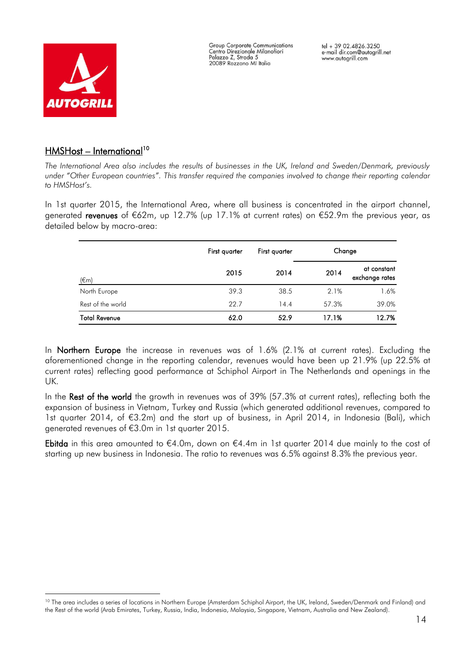

i<br>L

**Group Corporate Communications** Centro Direzionale Milanofiori Palazzo Z, Strada 5 20089 Rozzano MI Italia

# <u>HMSHost – International</u>10

*The International Area also includes the results of businesses in the UK, Ireland and Sweden/Denmark, previously under "Other European countries". This transfer required the companies involved to change their reporting calendar to HMSHost's.*

In 1st quarter 2015, the International Area, where all business is concentrated in the airport channel, generated revenues of €62m, up 12.7% (up 17.1% at current rates) on €52.9m the previous year, as detailed below by macro-area:

|                      | First quarter | First quarter | Change |                               |
|----------------------|---------------|---------------|--------|-------------------------------|
| $(\epsilon$ m        | 2015          | 2014          | 2014   | at constant<br>exchange rates |
| North Europe         | 39.3          | 38.5          | 2.1%   | 1.6%                          |
| Rest of the world    | 22.7          | 14.4          | 57.3%  | 39.0%                         |
| <b>Total Revenue</b> | 62.0          | 52.9          | 17.1%  | 12.7%                         |

In **Northern Europe** the increase in revenues was of 1.6% (2.1% at current rates). Excluding the aforementioned change in the reporting calendar, revenues would have been up 21.9% (up 22.5% at current rates) reflecting good performance at Schiphol Airport in The Netherlands and openings in the UK.

In the Rest of the world the growth in revenues was of 39% (57.3% at current rates), reflecting both the expansion of business in Vietnam, Turkey and Russia (which generated additional revenues, compared to 1st quarter 2014, of €3.2m) and the start up of business, in April 2014, in Indonesia (Bali), which generated revenues of €3.0m in 1st quarter 2015.

Ebitda in this area amounted to €4.0m, down on €4.4m in 1st quarter 2014 due mainly to the cost of starting up new business in Indonesia. The ratio to revenues was 6.5% against 8.3% the previous year.

<sup>&</sup>lt;sup>10</sup> The area includes a series of locations in Northern Europe (Amsterdam Schiphol Airport, the UK, Ireland, Sweden/Denmark and Finland) and the Rest of the world (Arab Emirates, Turkey, Russia, India, Indonesia, Malaysia, Singapore, Vietnam, Australia and New Zealand).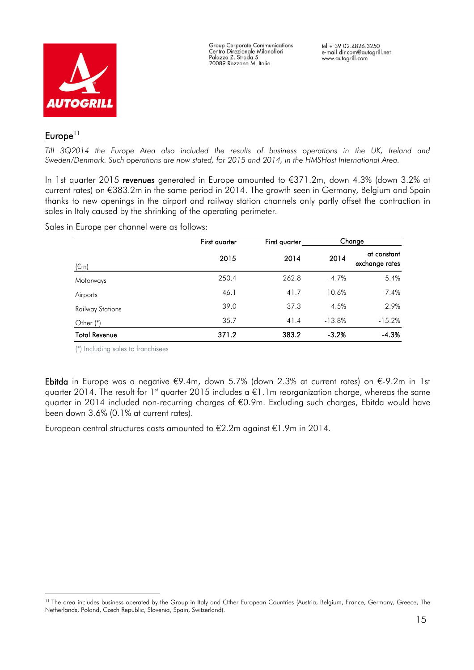

**Group Corporate Communications** Centro Direzionale Milanofiori Palazzo Z, Strada 5<br>20089 Rozzano MI Italia

# $Europe<sup>11</sup>$

i<br>L

*Till 3Q2014 the Europe Area also included the results of business operations in the UK, Ireland and Sweden/Denmark. Such operations are now stated, for 2015 and 2014, in the HMSHost International Area.*

In 1st quarter 2015 revenues generated in Europe amounted to €371.2m, down 4.3% (down 3.2% at current rates) on €383.2m in the same period in 2014. The growth seen in Germany, Belgium and Spain thanks to new openings in the airport and railway station channels only partly offset the contraction in sales in Italy caused by the shrinking of the operating perimeter.

Sales in Europe per channel were as follows:

|                      | First quarter | First quarter |          | Change                        |  |
|----------------------|---------------|---------------|----------|-------------------------------|--|
| $(\epsilon$ m)       | 2015          | 2014          | 2014     | at constant<br>exchange rates |  |
| Motorways            | 250.4         | 262.8         | $-4.7%$  | $-5.4%$                       |  |
| Airports             | 46.1          | 41.7          | 10.6%    | 7.4%                          |  |
| Railway Stations     | 39.0          | 37.3          | 4.5%     | 2.9%                          |  |
| Other $(*)$          | 35.7          | 41.4          | $-13.8%$ | $-15.2%$                      |  |
| <b>Total Revenue</b> | 371.2         | 383.2         | $-3.2%$  | $-4.3%$                       |  |

(\*) Including sales to franchisees

Ebitda in Europe was a negative €9.4m, down 5.7% (down 2.3% at current rates) on €-9.2m in 1st quarter 2014. The result for 1<sup>st</sup> quarter 2015 includes a  $\epsilon$ 1.1m reorganization charge, whereas the same quarter in 2014 included non-recurring charges of €0.9m. Excluding such charges, Ebitda would have been down 3.6% (0.1% at current rates).

European central structures costs amounted to €2.2m against €1.9m in 2014.

<sup>&</sup>lt;sup>11</sup> The area includes business operated by the Group in Italy and Other European Countries (Austria, Belgium, France, Germany, Greece, The Netherlands, Poland, Czech Republic, Slovenia, Spain, Switzerland).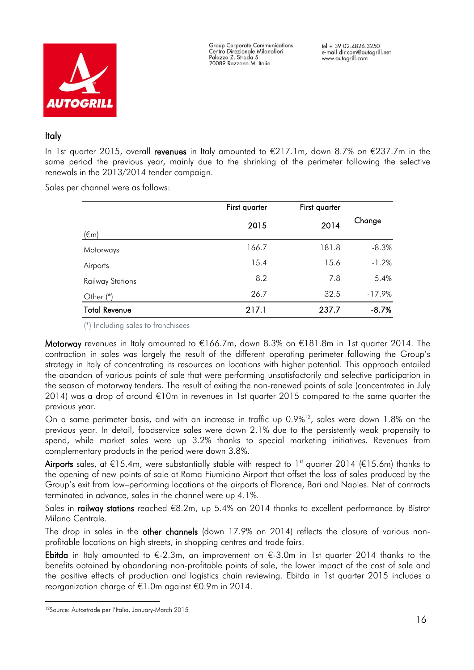

**Group Corporate Communications** Centro Direzionale Milanofiori Palazzo Z, Strada 5 20089 Rozzano MI Italia

## **Italy**

In 1st quarter 2015, overall revenues in Italy amounted to €217.1m, down 8.7% on €237.7m in the same period the previous year, mainly due to the shrinking of the perimeter following the selective renewals in the 2013/2014 tender campaign.

Sales per channel were as follows:

|                         | First quarter | First quarter |          |
|-------------------------|---------------|---------------|----------|
| $(\epsilon m)$          | 2015          | 2014          | Change   |
| Motorways               | 166.7         | 181.8         | $-8.3%$  |
| Airports                | 15.4          | 15.6          | $-1.2%$  |
| <b>Railway Stations</b> | 8.2           | 7.8           | 5.4%     |
| Other $(*)$             | 26.7          | 32.5          | $-17.9%$ |
| <b>Total Revenue</b>    | 217.1         | 237.7         | $-8.7%$  |

(\*) Including sales to franchisees

Motorway revenues in Italy amounted to €166.7m, down 8.3% on €181.8m in 1st quarter 2014. The contraction in sales was largely the result of the different operating perimeter following the Group's strategy in Italy of concentrating its resources on locations with higher potential. This approach entailed the abandon of various points of sale that were performing unsatisfactorily and selective participation in the season of motorway tenders. The result of exiting the non-renewed points of sale (concentrated in July 2014) was a drop of around €10m in revenues in 1st quarter 2015 compared to the same quarter the previous year.

On a same perimeter basis, and with an increase in traffic up 0.9%<sup>12</sup>, sales were down 1.8% on the previous year. In detail, foodservice sales were down 2.1% due to the persistently weak propensity to spend, while market sales were up 3.2% thanks to special marketing initiatives. Revenues from complementary products in the period were down 3.8%.

Airports sales, at €15.4m, were substantially stable with respect to 1<sup>st</sup> quarter 2014 (€15.6m) thanks to the opening of new points of sale at Roma Fiumicino Airport that offset the loss of sales produced by the Group's exit from low–performing locations at the airports of Florence, Bari and Naples. Net of contracts terminated in advance, sales in the channel were up 4.1%.

Sales in railway stations reached €8.2m, up 5.4% on 2014 thanks to excellent performance by Bistrot Milano Centrale.

The drop in sales in the other channels (down 17.9% on 2014) reflects the closure of various nonprofitable locations on high streets, in shopping centres and trade fairs.

Ebitda in Italy amounted to  $\epsilon$ -2.3m, an improvement on  $\epsilon$ -3.0m in 1st quarter 2014 thanks to the benefits obtained by abandoning non-profitable points of sale, the lower impact of the cost of sale and the positive effects of production and logistics chain reviewing. Ebitda in 1st quarter 2015 includes a reorganization charge of €1.0m against €0.9m in 2014.

i<br>L

<sup>12</sup>Source: Autostrade per l'Italia, January-March 2015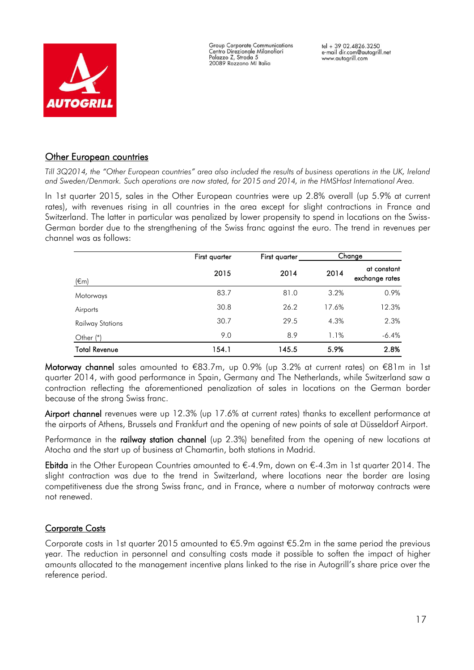



## **Other European countries**

*Till 3Q2014, the "Other European countries" area also included the results of business operations in the UK, Ireland and Sweden/Denmark. Such operations are now stated, for 2015 and 2014, in the HMSHost International Area.*

In 1st quarter 2015, sales in the Other European countries were up 2.8% overall (up 5.9% at current rates), with revenues rising in all countries in the area except for slight contractions in France and Switzerland. The latter in particular was penalized by lower propensity to spend in locations on the Swiss-German border due to the strengthening of the Swiss franc against the euro. The trend in revenues per channel was as follows:

|                         | First quarter | First quarter |       | Change                        |  |
|-------------------------|---------------|---------------|-------|-------------------------------|--|
| $(\epsilon$ m)          | 2015          | 2014          | 2014  | at constant<br>exchange rates |  |
| Motorways               | 83.7          | 81.0          | 3.2%  | 0.9%                          |  |
| Airports                | 30.8          | 26.2          | 17.6% | 12.3%                         |  |
| <b>Railway Stations</b> | 30.7          | 29.5          | 4.3%  | 2.3%                          |  |
| Other $(*)$             | 9.0           | 8.9           | 1.1%  | $-6.4%$                       |  |
| <b>Total Revenue</b>    | 154.1         | 145.5         | 5.9%  | 2.8%                          |  |

Motorway channel sales amounted to €83.7m, up 0.9% (up 3.2% at current rates) on €81m in 1st quarter 2014, with good performance in Spain, Germany and The Netherlands, while Switzerland saw a contraction reflecting the aforementioned penalization of sales in locations on the German border because of the strong Swiss franc.

Airport channel revenues were up 12.3% (up 17.6% at current rates) thanks to excellent performance at the airports of Athens, Brussels and Frankfurt and the opening of new points of sale at Düsseldorf Airport.

Performance in the railway station channel (up 2.3%) benefited from the opening of new locations at Atocha and the start up of business at Chamartin, both stations in Madrid.

Ebitda in the Other European Countries amounted to €-4.9m, down on €-4.3m in 1st quarter 2014. The slight contraction was due to the trend in Switzerland, where locations near the border are losing competitiveness due the strong Swiss franc, and in France, where a number of motorway contracts were not renewed.

# Corporate Costs

Corporate costs in 1st quarter 2015 amounted to €5.9m against €5.2m in the same period the previous year. The reduction in personnel and consulting costs made it possible to soften the impact of higher amounts allocated to the management incentive plans linked to the rise in Autogrill's share price over the reference period.